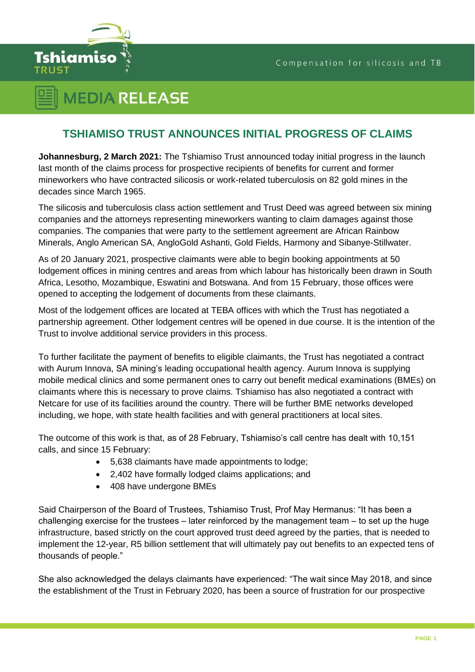

## **MEDIA RELEASE**

## **TSHIAMISO TRUST ANNOUNCES INITIAL PROGRESS OF CLAIMS**

**Johannesburg, 2 March 2021:** The Tshiamiso Trust announced today initial progress in the launch last month of the claims process for prospective recipients of benefits for current and former mineworkers who have contracted silicosis or work-related tuberculosis on 82 gold mines in the decades since March 1965.

The silicosis and tuberculosis class action settlement and Trust Deed was agreed between six mining companies and the attorneys representing mineworkers wanting to claim damages against those companies. The companies that were party to the settlement agreement are African Rainbow Minerals, Anglo American SA, AngloGold Ashanti, Gold Fields, Harmony and Sibanye-Stillwater.

As of 20 January 2021, prospective claimants were able to begin booking appointments at 50 lodgement offices in mining centres and areas from which labour has historically been drawn in South Africa, Lesotho, Mozambique, Eswatini and Botswana. And from 15 February, those offices were opened to accepting the lodgement of documents from these claimants.

Most of the lodgement offices are located at TEBA offices with which the Trust has negotiated a partnership agreement. Other lodgement centres will be opened in due course. It is the intention of the Trust to involve additional service providers in this process.

To further facilitate the payment of benefits to eligible claimants, the Trust has negotiated a contract with Aurum Innova, SA mining's leading occupational health agency. Aurum Innova is supplying mobile medical clinics and some permanent ones to carry out benefit medical examinations (BMEs) on claimants where this is necessary to prove claims. Tshiamiso has also negotiated a contract with Netcare for use of its facilities around the country. There will be further BME networks developed including, we hope, with state health facilities and with general practitioners at local sites.

The outcome of this work is that, as of 28 February, Tshiamiso's call centre has dealt with 10,151 calls, and since 15 February:

- 5,638 claimants have made appointments to lodge;
- 2,402 have formally lodged claims applications; and
- 408 have undergone BMEs

Said Chairperson of the Board of Trustees, Tshiamiso Trust, Prof May Hermanus: "It has been a challenging exercise for the trustees  $-$  later reinforced by the management team  $-$  to set up the huge infrastructure, based strictly on the court approved trust deed agreed by the parties, that is needed to implement the 12-year, R5 billion settlement that will ultimately pay out benefits to an expected tens of thousands of people."

She also acknowledged the delays claimants have experienced: "The wait since May 2018, and since the establishment of the Trust in February 2020, has been a source of frustration for our prospective